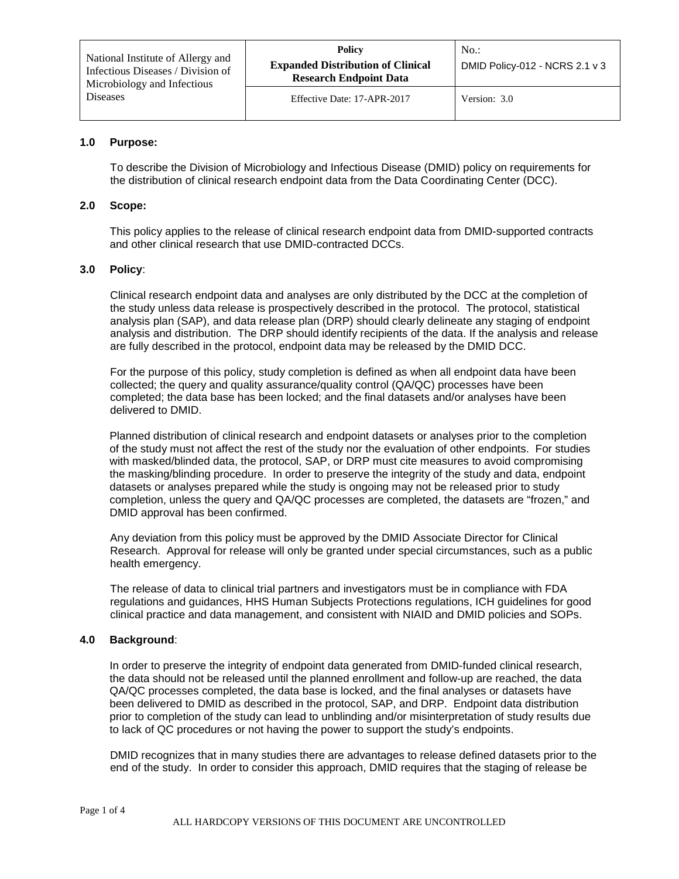| National Institute of Allergy and<br>Infectious Diseases / Division of<br>Microbiology and Infectious<br><b>Diseases</b> | <b>Policy</b><br><b>Expanded Distribution of Clinical</b><br><b>Research Endpoint Data</b> | $No.$ :<br>DMID Policy-012 - NCRS 2.1 v 3 |
|--------------------------------------------------------------------------------------------------------------------------|--------------------------------------------------------------------------------------------|-------------------------------------------|
|                                                                                                                          | Effective Date: 17-APR-2017                                                                | Version: 3.0                              |

### **1.0 Purpose:**

To describe the Division of Microbiology and Infectious Disease (DMID) policy on requirements for the distribution of clinical research endpoint data from the Data Coordinating Center (DCC).

# **2.0 Scope:**

This policy applies to the release of clinical research endpoint data from DMID-supported contracts and other clinical research that use DMID-contracted DCCs.

### **3.0 Policy**:

Clinical research endpoint data and analyses are only distributed by the DCC at the completion of the study unless data release is prospectively described in the protocol. The protocol, statistical analysis plan (SAP), and data release plan (DRP) should clearly delineate any staging of endpoint analysis and distribution. The DRP should identify recipients of the data. If the analysis and release are fully described in the protocol, endpoint data may be released by the DMID DCC.

For the purpose of this policy, study completion is defined as when all endpoint data have been collected; the query and quality assurance/quality control (QA/QC) processes have been completed; the data base has been locked; and the final datasets and/or analyses have been delivered to DMID.

Planned distribution of clinical research and endpoint datasets or analyses prior to the completion of the study must not affect the rest of the study nor the evaluation of other endpoints. For studies with masked/blinded data, the protocol, SAP, or DRP must cite measures to avoid compromising the masking/blinding procedure. In order to preserve the integrity of the study and data, endpoint datasets or analyses prepared while the study is ongoing may not be released prior to study completion, unless the query and QA/QC processes are completed, the datasets are "frozen," and DMID approval has been confirmed.

Any deviation from this policy must be approved by the DMID Associate Director for Clinical Research. Approval for release will only be granted under special circumstances, such as a public health emergency.

The release of data to clinical trial partners and investigators must be in compliance with FDA regulations and guidances, HHS Human Subjects Protections regulations, ICH guidelines for good clinical practice and data management, and consistent with NIAID and DMID policies and SOPs.

#### **4.0 Background**:

In order to preserve the integrity of endpoint data generated from DMID-funded clinical research, the data should not be released until the planned enrollment and follow-up are reached, the data QA/QC processes completed, the data base is locked, and the final analyses or datasets have been delivered to DMID as described in the protocol, SAP, and DRP. Endpoint data distribution prior to completion of the study can lead to unblinding and/or misinterpretation of study results due to lack of QC procedures or not having the power to support the study's endpoints.

DMID recognizes that in many studies there are advantages to release defined datasets prior to the end of the study. In order to consider this approach, DMID requires that the staging of release be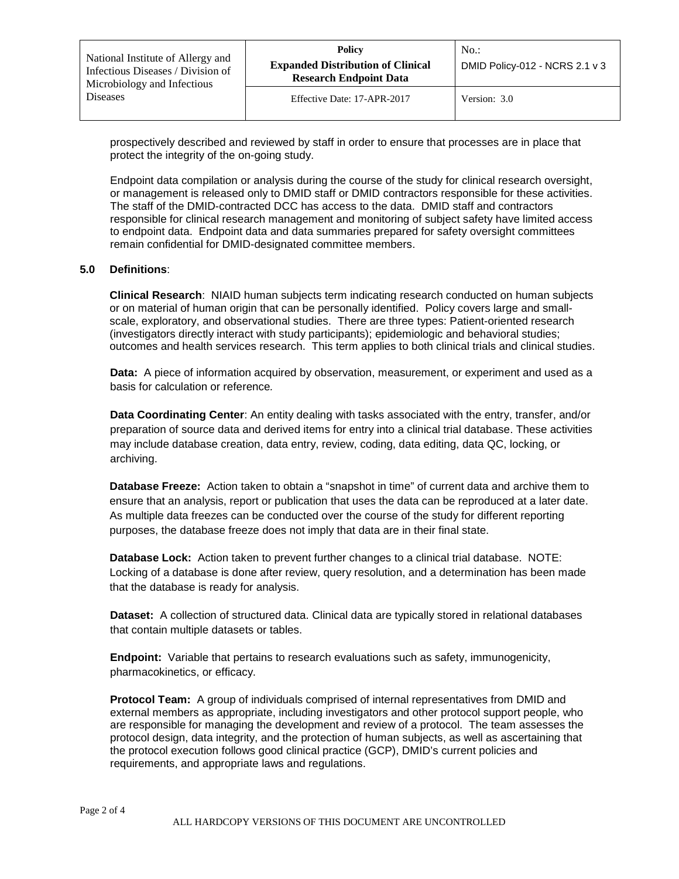| National Institute of Allergy and<br>Infectious Diseases / Division of<br>Microbiology and Infectious<br><b>Diseases</b> | Policy<br><b>Expanded Distribution of Clinical</b><br><b>Research Endpoint Data</b> | $No.$ :<br>DMID Policy-012 - NCRS 2.1 $\vee$ 3 |
|--------------------------------------------------------------------------------------------------------------------------|-------------------------------------------------------------------------------------|------------------------------------------------|
|                                                                                                                          | Effective Date: 17-APR-2017                                                         | Version: 3.0                                   |

prospectively described and reviewed by staff in order to ensure that processes are in place that protect the integrity of the on-going study.

Endpoint data compilation or analysis during the course of the study for clinical research oversight, or management is released only to DMID staff or DMID contractors responsible for these activities. The staff of the DMID-contracted DCC has access to the data. DMID staff and contractors responsible for clinical research management and monitoring of subject safety have limited access to endpoint data. Endpoint data and data summaries prepared for safety oversight committees remain confidential for DMID-designated committee members.

# **5.0 Definitions**:

**Clinical Research**: NIAID human subjects term indicating research conducted on human subjects or on material of human origin that can be personally identified. Policy covers large and smallscale, exploratory, and observational studies. There are three types: Patient-oriented research (investigators directly interact with study participants); epidemiologic and behavioral studies; outcomes and health services research. This term applies to both clinical trials and clinical studies.

**Data:** A piece of information acquired by observation, measurement, or experiment and used as a basis for calculation or reference*.* 

**Data Coordinating Center**: An entity dealing with tasks associated with the entry, transfer, and/or preparation of source data and derived items for entry into a clinical trial database. These activities may include database creation, data entry, review, coding, data editing, data QC, locking, or archiving.

**Database Freeze:** Action taken to obtain a "snapshot in time" of current data and archive them to ensure that an analysis, report or publication that uses the data can be reproduced at a later date. As multiple data freezes can be conducted over the course of the study for different reporting purposes, the database freeze does not imply that data are in their final state.

**Database Lock:** Action taken to prevent further changes to a clinical trial database. NOTE: Locking of a database is done after review, query resolution, and a determination has been made that the database is ready for analysis.

**Dataset:** A collection of structured data. Clinical data are typically stored in relational databases that contain multiple datasets or tables.

**Endpoint:** Variable that pertains to research evaluations such as safety, immunogenicity, pharmacokinetics, or efficacy.

**Protocol Team:** A group of individuals comprised of internal representatives from DMID and external members as appropriate, including investigators and other protocol support people, who are responsible for managing the development and review of a protocol. The team assesses the protocol design, data integrity, and the protection of human subjects, as well as ascertaining that the protocol execution follows good clinical practice (GCP), DMID's current policies and requirements, and appropriate laws and regulations.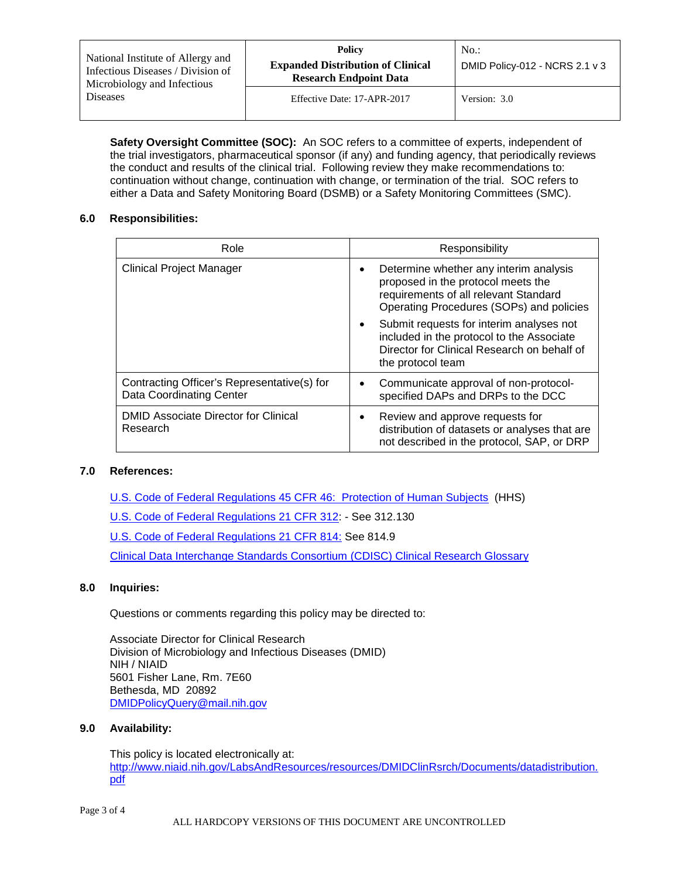| National Institute of Allergy and<br>Infectious Diseases / Division of<br>Microbiology and Infectious<br><b>Diseases</b> | Policy<br><b>Expanded Distribution of Clinical</b><br><b>Research Endpoint Data</b> | $No.$ :<br>DMID Policy-012 - NCRS 2.1 v 3 |
|--------------------------------------------------------------------------------------------------------------------------|-------------------------------------------------------------------------------------|-------------------------------------------|
|                                                                                                                          | Effective Date: 17-APR-2017                                                         | Version: 3.0                              |

**Safety Oversight Committee (SOC):** An SOC refers to a committee of experts, independent of the trial investigators, pharmaceutical sponsor (if any) and funding agency, that periodically reviews the conduct and results of the clinical trial. Following review they make recommendations to: continuation without change, continuation with change, or termination of the trial. SOC refers to either a Data and Safety Monitoring Board (DSMB) or a Safety Monitoring Committees (SMC).

# **6.0 Responsibilities:**

| Role                                                                           | Responsibility                                                                                                                                                    |
|--------------------------------------------------------------------------------|-------------------------------------------------------------------------------------------------------------------------------------------------------------------|
| <b>Clinical Project Manager</b>                                                | Determine whether any interim analysis<br>proposed in the protocol meets the<br>requirements of all relevant Standard<br>Operating Procedures (SOPs) and policies |
|                                                                                | Submit requests for interim analyses not<br>included in the protocol to the Associate<br>Director for Clinical Research on behalf of<br>the protocol team         |
| Contracting Officer's Representative(s) for<br><b>Data Coordinating Center</b> | Communicate approval of non-protocol-<br>specified DAPs and DRPs to the DCC                                                                                       |
| DMID Associate Director for Clinical<br>Research                               | Review and approve requests for<br>distribution of datasets or analyses that are<br>not described in the protocol, SAP, or DRP                                    |

# **7.0 References:**

[U.S. Code of Federal Regulations 45 CFR 46: Protection of Human Subjects](http://www.hhs.gov/ohrp/humansubjects/guidance/45cfr46.html) (HHS)

[U.S. Code of Federal Regulations 21 CFR 312:](http://www.accessdata.fda.gov/scripts/cdrh/cfdocs/cfcfr/CFRSearch.cfm?CFRPart=312&showFR=1&utm_campaign=Google2&utm_source=fdaSearch&utm_medium=website&utm_term=21%20CFR%20312&utm_content=2) - See 312.130

[U.S. Code of Federal Regulations 21 CFR 814:](http://www.accessdata.fda.gov/scripts/cdrh/cfdocs/cfcfr/CFRSearch.cfm?CFRPart=814) See 814.9

[Clinical Data Interchange Standards Consortium \(CDISC\) Clinical Research Glossary](http://www.cdisc.org/stuff/contentmgr/files/0/08a36984bc61034baed3b019f3a87139/misc/act1211_011_043_gr_glossary.pdf)

# **8.0 Inquiries:**

Questions or comments regarding this policy may be directed to:

Associate Director for Clinical Research Division of Microbiology and Infectious Diseases (DMID) NIH / NIAID 5601 Fisher Lane, Rm. 7E60 Bethesda, MD 20892 [DMIDPolicyQuery@](mailto:DMIDPolicyQuery@mail.nih.gov)mail.nih.gov

# **9.0 Availability:**

This policy is located electronically at: [http://www.niaid.nih.gov/LabsAndResources/resources/DMIDClinRsrch/Documents/datadistribution.](http://www.niaid.nih.gov/LabsAndResources/resources/DMIDClinRsrch/Documents/datadistribution.pdf) [pdf](http://www.niaid.nih.gov/LabsAndResources/resources/DMIDClinRsrch/Documents/datadistribution.pdf)